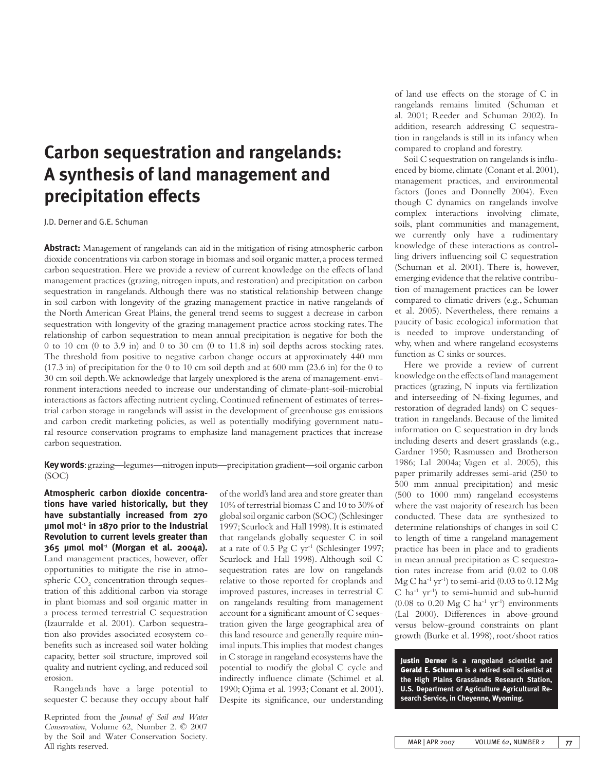# **Carbon sequestration and rangelands: A synthesis of land management and precipitation effects**

J.D. Derner and G.E. Schuman

**Abstract:** Management of rangelands can aid in the mitigation of rising atmospheric carbon dioxide concentrations via carbon storage in biomass and soil organic matter, a process termed carbon sequestration. Here we provide a review of current knowledge on the effects of land management practices (grazing, nitrogen inputs, and restoration) and precipitation on carbon sequestration in rangelands. Although there was no statistical relationship between change in soil carbon with longevity of the grazing management practice in native rangelands of the North American Great Plains, the general trend seems to suggest a decrease in carbon sequestration with longevity of the grazing management practice across stocking rates. The relationship of carbon sequestration to mean annual precipitation is negative for both the 0 to 10 cm (0 to 3.9 in) and 0 to 30 cm (0 to 11.8 in) soil depths across stocking rates. The threshold from positive to negative carbon change occurs at approximately 440 mm  $(17.3 \text{ in})$  of precipitation for the 0 to 10 cm soil depth and at 600 mm  $(23.6 \text{ in})$  for the 0 to 30 cm soil depth. We acknowledge that largely unexplored is the arena of management-environment interactions needed to increase our understanding of climate-plant-soil-microbial interactions as factors affecting nutrient cycling. Continued refinement of estimates of terrestrial carbon storage in rangelands will assist in the development of greenhouse gas emissions and carbon credit marketing policies, as well as potentially modifying government natural resource conservation programs to emphasize land management practices that increase carbon sequestration.

**Key words**: grazing—legumes—nitrogen inputs—precipitation gradient—soil organic carbon (SOC)

**Atmospheric carbon dioxide concentrations have varied historically, but they have substantially increased from 270 µmol mol-1 in 1870 prior to the Industrial Revolution to current levels greater than 365 µmol mol-1 (Morgan et al. 2004a).** Land management practices, however, offer opportunities to mitigate the rise in atmospheric  $\mathrm{CO}_2$  concentration through sequestration of this additional carbon via storage in plant biomass and soil organic matter in a process termed terrestrial C sequestration (Izaurralde et al. 2001). Carbon sequestration also provides associated ecosystem cobenefits such as increased soil water holding capacity, better soil structure, improved soil quality and nutrient cycling, and reduced soil erosion.

Rangelands have a large potential to sequester C because they occupy about half

Reprinted from the *Journal of Soil and Water Conservation*, Volume 62, Number 2. © 2007 by the Soil and Water Conservation Society. All rights reserved.

of the world's land area and store greater than 10% of terrestrial biomass C and 10 to 30% of global soil organic carbon (SOC) (Schlesinger 1997; Scurlock and Hall 1998). It is estimated that rangelands globally sequester C in soil at a rate of 0.5 Pg C yr-1 (Schlesinger 1997; Scurlock and Hall 1998). Although soil C sequestration rates are low on rangelands relative to those reported for croplands and improved pastures, increases in terrestrial C on rangelands resulting from management account for a significant amount of C sequestration given the large geographical area of this land resource and generally require minimal inputs. This implies that modest changes in C storage in rangeland ecosystems have the potential to modify the global C cycle and indirectly influence climate (Schimel et al. 1990; Ojima et al. 1993; Conant et al. 2001). Despite its significance, our understanding

of land use effects on the storage of C in rangelands remains limited (Schuman et al. 2001; Reeder and Schuman 2002). In addition, research addressing C sequestration in rangelands is still in its infancy when compared to cropland and forestry.

Soil C sequestration on rangelands is influenced by biome, climate (Conant et al. 2001), management practices, and environmental factors (Jones and Donnelly 2004). Even though C dynamics on rangelands involve complex interactions involving climate, soils, plant communities and management, we currently only have a rudimentary knowledge of these interactions as controlling drivers influencing soil C sequestration (Schuman et al. 2001). There is, however, emerging evidence that the relative contribution of management practices can be lower compared to climatic drivers (e.g., Schuman et al. 2005). Nevertheless, there remains a paucity of basic ecological information that is needed to improve understanding of why, when and where rangeland ecosystems function as C sinks or sources.

Here we provide a review of current knowledge on the effects of land management practices (grazing, N inputs via fertilization and interseeding of N-fixing legumes, and restoration of degraded lands) on C sequestration in rangelands. Because of the limited information on C sequestration in dry lands including deserts and desert grasslands (e.g., Gardner 1950; Rasmussen and Brotherson 1986; Lal 2004a; Vagen et al. 2005), this paper primarily addresses semi-arid (250 to 500 mm annual precipitation) and mesic (500 to 1000 mm) rangeland ecosystems where the vast majority of research has been conducted. These data are synthesized to determine relationships of changes in soil C to length of time a rangeland management practice has been in place and to gradients in mean annual precipitation as C sequestration rates increase from arid (0.02 to 0.08  $Mg C$  ha<sup>-1</sup> yr<sup>-1</sup>) to semi-arid (0.03 to 0.12 Mg  $C$  ha<sup>-1</sup> yr<sup>-1</sup>) to semi-humid and sub-humid  $(0.08 \text{ to } 0.20 \text{ Mg C ha}^{-1} \text{ yr}^{-1})$  environments (Lal 2000). Differences in above-ground versus below-ground constraints on plant growth (Burke et al. 1998), root/shoot ratios

Justin Derner **is a rangeland scientist and**  Gerald E. Schuman **is a retired soil scientist at the High Plains Grasslands Research Station, U.S. Department of Agriculture Agricultural Research Service, in Cheyenne, Wyoming.**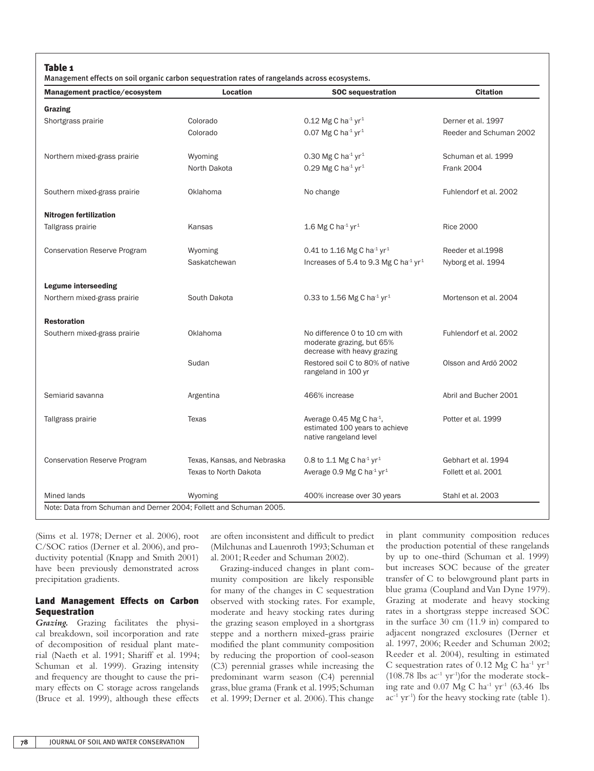## Table 1

Management effects on soil organic carbon sequestration rates of rangelands across ecosystems.

| Management practice/ecosystem                                      | Location                    | <b>SOC</b> sequestration                                                                  | <b>Citation</b>         |
|--------------------------------------------------------------------|-----------------------------|-------------------------------------------------------------------------------------------|-------------------------|
| Grazing                                                            |                             |                                                                                           |                         |
| Shortgrass prairie                                                 | Colorado                    | 0.12 Mg C ha <sup>-1</sup> yr <sup>1</sup>                                                | Derner et al. 1997      |
|                                                                    | Colorado                    | 0.07 Mg C ha $4 \text{ yr}^1$                                                             | Reeder and Schuman 2002 |
| Northern mixed-grass prairie                                       | Wyoming                     | 0.30 Mg C ha $4$ yr $4$                                                                   | Schuman et al. 1999     |
|                                                                    | North Dakota                | 0.29 Mg C ha $4 \text{ yr}^1$                                                             | <b>Frank 2004</b>       |
| Southern mixed-grass prairie                                       | Oklahoma                    | No change                                                                                 | Fuhlendorf et al. 2002  |
| <b>Nitrogen fertilization</b>                                      |                             |                                                                                           |                         |
| Tallgrass prairie                                                  | Kansas                      | 1.6 Mg C ha $1$ yr $1$                                                                    | <b>Rice 2000</b>        |
| <b>Conservation Reserve Program</b>                                | Wyoming                     | 0.41 to 1.16 Mg C ha <sup>-1</sup> yr <sup>1</sup>                                        | Reeder et al.1998       |
|                                                                    | Saskatchewan                | Increases of 5.4 to 9.3 Mg C ha <sup>-1</sup> yr <sup>1</sup>                             | Nyborg et al. 1994      |
| Legume interseeding                                                |                             |                                                                                           |                         |
| Northern mixed-grass prairie                                       | South Dakota                | 0.33 to 1.56 Mg C ha <sup>-1</sup> yr <sup>1</sup>                                        | Mortenson et al. 2004   |
| <b>Restoration</b>                                                 |                             |                                                                                           |                         |
| Southern mixed-grass prairie                                       | Oklahoma                    | No difference 0 to 10 cm with<br>moderate grazing, but 65%<br>decrease with heavy grazing | Fuhlendorf et al. 2002  |
|                                                                    | Sudan                       | Restored soil C to 80% of native<br>rangeland in 100 yr                                   | Olsson and Ardö 2002    |
| Semiarid savanna                                                   | Argentina                   | 466% increase                                                                             | Abril and Bucher 2001   |
| Tallgrass prairie                                                  | <b>Texas</b>                | Average 0.45 Mg C ha $-1$ ,<br>estimated 100 years to achieve<br>native rangeland level   | Potter et al. 1999      |
| <b>Conservation Reserve Program</b>                                | Texas, Kansas, and Nebraska | 0.8 to 1.1 Mg C ha <sup>-1</sup> yr <sup>1</sup>                                          | Gebhart et al. 1994     |
|                                                                    | Texas to North Dakota       | Average 0.9 Mg C ha <sup>-1</sup> yr <sup>1</sup>                                         | Follett et al. 2001     |
| Mined lands                                                        | Wyoming                     | 400% increase over 30 years                                                               | Stahl et al. 2003       |
| Note: Data from Schuman and Derner 2004; Follett and Schuman 2005. |                             |                                                                                           |                         |

(Sims et al. 1978; Derner et al. 2006), root C/SOC ratios (Derner et al. 2006), and productivity potential (Knapp and Smith 2001) have been previously demonstrated across precipitation gradients.

# Land Management Effects on Carbon Sequestration

*Grazing.* Grazing facilitates the physical breakdown, soil incorporation and rate of decomposition of residual plant material (Naeth et al. 1991; Shariff et al. 1994; Schuman et al. 1999). Grazing intensity and frequency are thought to cause the primary effects on C storage across rangelands (Bruce et al. 1999), although these effects are often inconsistent and difficult to predict (Milchunas and Lauenroth 1993; Schuman et al. 2001; Reeder and Schuman 2002).

Grazing-induced changes in plant community composition are likely responsible for many of the changes in C sequestration observed with stocking rates. For example, moderate and heavy stocking rates during the grazing season employed in a shortgrass steppe and a northern mixed-grass prairie modified the plant community composition by reducing the proportion of cool-season (C3) perennial grasses while increasing the predominant warm season (C4) perennial grass, blue grama (Frank et al. 1995; Schuman et al. 1999; Derner et al. 2006). This change

in plant community composition reduces the production potential of these rangelands by up to one-third (Schuman et al. 1999) but increases SOC because of the greater transfer of C to belowground plant parts in blue grama (Coupland and Van Dyne 1979). Grazing at moderate and heavy stocking rates in a shortgrass steppe increased SOC in the surface 30 cm (11.9 in) compared to adjacent nongrazed exclosures (Derner et al. 1997, 2006; Reeder and Schuman 2002; Reeder et al. 2004), resulting in estimated C sequestration rates of  $0.12 \text{ Mg C} \text{ ha}^{-1} \text{ yr}^{-1}$  $(108.78 \text{ lbs } \text{ac}^{-1} \text{ yr}^{-1})$  for the moderate stocking rate and  $0.07 \text{ Mg C} \text{ ha}^{-1} \text{ yr}^{-1}$  (63.46 lbs  $ac^{-1}$  yr<sup>-1</sup>) for the heavy stocking rate (table 1).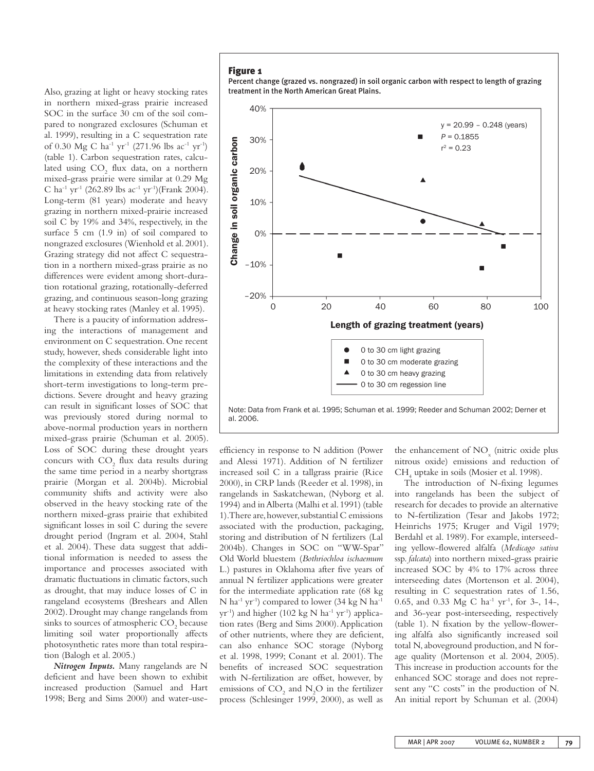Also, grazing at light or heavy stocking rates in northern mixed-grass prairie increased SOC in the surface 30 cm of the soil compared to nongrazed exclosures (Schuman et al. 1999), resulting in a C sequestration rate of 0.30 Mg C ha<sup>-1</sup> yr<sup>-1</sup> (271.96 lbs ac<sup>-1</sup> yr<sup>-1</sup>) (table 1). Carbon sequestration rates, calculated using  $CO<sub>2</sub>$  flux data, on a northern mixed-grass prairie were similar at 0.29 Mg C ha<sup>-1</sup> yr<sup>-1</sup> (262.89 lbs ac<sup>-1</sup> yr<sup>-1</sup>)(Frank 2004). Long-term (81 years) moderate and heavy grazing in northern mixed-prairie increased soil C by 19% and 34%, respectively, in the surface 5 cm (1.9 in) of soil compared to nongrazed exclosures (Wienhold et al. 2001). Grazing strategy did not affect C sequestration in a northern mixed-grass prairie as no differences were evident among short-duration rotational grazing, rotationally-deferred grazing, and continuous season-long grazing at heavy stocking rates (Manley et al. 1995).

There is a paucity of information addressing the interactions of management and environment on C sequestration. One recent study, however, sheds considerable light into the complexity of these interactions and the limitations in extending data from relatively short-term investigations to long-term predictions. Severe drought and heavy grazing can result in significant losses of SOC that was previously stored during normal to above-normal production years in northern mixed-grass prairie (Schuman et al. 2005). Loss of SOC during these drought years concurs with  $CO<sub>2</sub>$  flux data results during the same time period in a nearby shortgrass prairie (Morgan et al. 2004b). Microbial community shifts and activity were also observed in the heavy stocking rate of the northern mixed-grass prairie that exhibited significant losses in soil C during the severe drought period (Ingram et al. 2004, Stahl et al. 2004). These data suggest that additional information is needed to assess the importance and processes associated with dramatic fluctuations in climatic factors, such as drought, that may induce losses of C in rangeland ecosystems (Breshears and Allen 2002). Drought may change rangelands from sinks to sources of atmospheric  $\mathrm{CO}_2$  because limiting soil water proportionally affects photosynthetic rates more than total respiration (Balogh et al. 2005.)

*Nitrogen Inputs.* Many rangelands are N deficient and have been shown to exhibit increased production (Samuel and Hart 1998; Berg and Sims 2000) and water-use-

## Figure 1

Percent change (grazed vs. nongrazed) in soil organic carbon with respect to length of grazing treatment in the North American Great Plains.



Note: Data from Frank et al. 1995; Schuman et al. 1999; Reeder and Schuman 2002; Derner et al. 2006.

efficiency in response to N addition (Power and Alessi 1971). Addition of N fertilizer increased soil C in a tallgrass prairie (Rice 2000), in CRP lands (Reeder et al. 1998), in rangelands in Saskatchewan, (Nyborg et al. 1994) and in Alberta (Malhi et al. 1991) (table 1). There are, however, substantial C emissions associated with the production, packaging, storing and distribution of N fertilizers (Lal 2004b). Changes in SOC on "WW-Spar" Old World bluestem (*Bothriochloa ischaemum* L.) pastures in Oklahoma after five years of annual N fertilizer applications were greater for the intermediate application rate (68 kg N ha<sup>-1</sup> yr<sup>-1</sup>) compared to lower (34 kg N ha<sup>-1</sup>  $yr^{-1}$ ) and higher (102 kg N ha<sup>-1</sup> yr<sup>-1</sup>) application rates (Berg and Sims 2000). Application of other nutrients, where they are deficient, can also enhance SOC storage (Nyborg et al. 1998, 1999; Conant et al. 2001). The benefits of increased SOC sequestration with N-fertilization are offset, however, by emissions of  $CO<sub>2</sub>$  and  $N<sub>2</sub>O$  in the fertilizer process (Schlesinger 1999, 2000), as well as

the enhancement of  $NO<sub>x</sub>$  (nitric oxide plus nitrous oxide) emissions and reduction of CH4 uptake in soils (Mosier et al. 1998).

The introduction of N-fixing legumes into rangelands has been the subject of research for decades to provide an alternative to N-fertilization (Tesar and Jakobs 1972; Heinrichs 1975; Kruger and Vigil 1979; Berdahl et al. 1989). For example, interseeding yellow-flowered alfalfa (*Medicago sativa* ssp. *falcata*) into northern mixed-grass prairie increased SOC by 4% to 17% across three interseeding dates (Mortenson et al. 2004), resulting in C sequestration rates of 1.56, 0.65, and 0.33 Mg C ha<sup>-1</sup> yr<sup>-1</sup>, for 3-, 14-, and 36-year post-interseeding, respectively (table 1). N fixation by the yellow-flowering alfalfa also significantly increased soil total N, aboveground production, and N forage quality (Mortenson et al. 2004, 2005). This increase in production accounts for the enhanced SOC storage and does not represent any "C costs" in the production of N. An initial report by Schuman et al. (2004)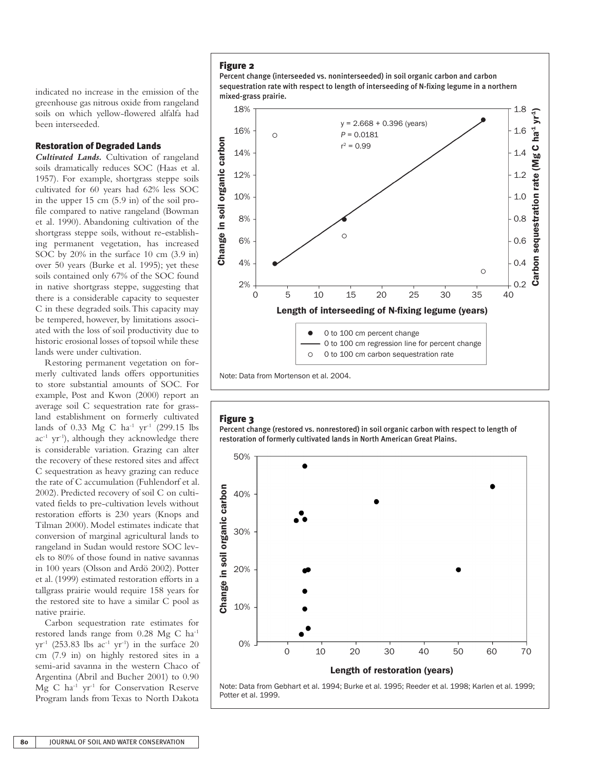indicated no increase in the emission of the greenhouse gas nitrous oxide from rangeland soils on which yellow-flowered alfalfa had been interseeded.

## Restoration of Degraded Lands

*Cultivated Lands.* Cultivation of rangeland soils dramatically reduces SOC (Haas et al. 1957). For example, shortgrass steppe soils cultivated for 60 years had 62% less SOC in the upper 15 cm (5.9 in) of the soil profile compared to native rangeland (Bowman et al. 1990). Abandoning cultivation of the shortgrass steppe soils, without re-establishing permanent vegetation, has increased SOC by 20% in the surface 10 cm (3.9 in) over 50 years (Burke et al. 1995); yet these soils contained only 67% of the SOC found in native shortgrass steppe, suggesting that there is a considerable capacity to sequester C in these degraded soils. This capacity may be tempered, however, by limitations associated with the loss of soil productivity due to historic erosional losses of topsoil while these lands were under cultivation.

Restoring permanent vegetation on formerly cultivated lands offers opportunities to store substantial amounts of SOC. For example, Post and Kwon (2000) report an average soil C sequestration rate for grassland establishment on formerly cultivated lands of 0.33 Mg C ha<sup>-1</sup> yr<sup>-1</sup> (299.15 lbs  $ac^{-1}$  yr<sup>-1</sup>), although they acknowledge there is considerable variation. Grazing can alter the recovery of these restored sites and affect C sequestration as heavy grazing can reduce the rate of C accumulation (Fuhlendorf et al. 2002). Predicted recovery of soil C on cultivated fields to pre-cultivation levels without restoration efforts is 230 years (Knops and Tilman 2000). Model estimates indicate that conversion of marginal agricultural lands to rangeland in Sudan would restore SOC levels to 80% of those found in native savannas in 100 years (Olsson and Ardö 2002). Potter et al. (1999) estimated restoration efforts in a tallgrass prairie would require 158 years for the restored site to have a similar C pool as native prairie.

Carbon sequestration rate estimates for restored lands range from 0.28 Mg C ha-1  $yr^{-1}$  (253.83 lbs ac<sup>-1</sup> yr<sup>-1</sup>) in the surface 20 cm (7.9 in) on highly restored sites in a semi-arid savanna in the western Chaco of Argentina (Abril and Bucher 2001) to 0.90 Mg C ha-1 yr-1 for Conservation Reserve Program lands from Texas to North Dakota

### Figure 2





## Figure 3

Percent change (restored vs. nonrestored) in soil organic carbon with respect to length of restoration of formerly cultivated lands in North American Great Plains.

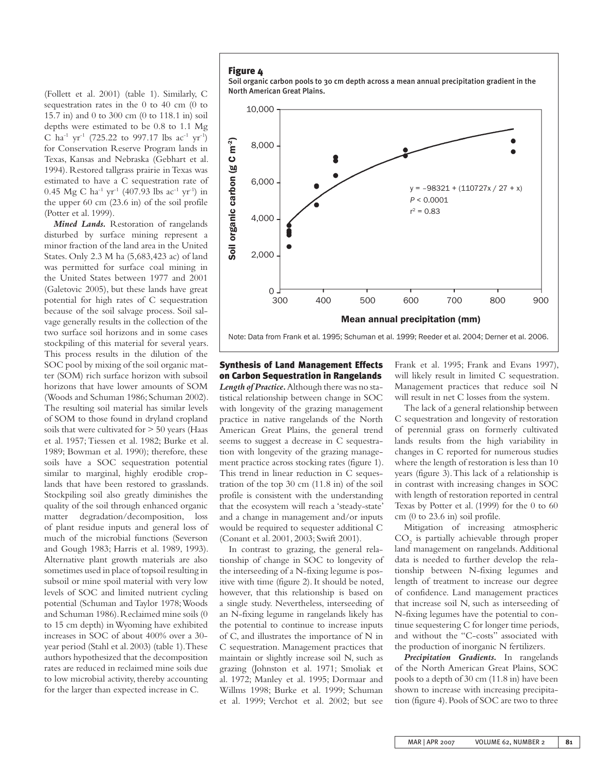(Follett et al. 2001) (table 1). Similarly, C sequestration rates in the 0 to 40 cm (0 to 15.7 in) and 0 to 300 cm (0 to 118.1 in) soil depths were estimated to be 0.8 to 1.1 Mg C ha<sup>-1</sup> yr<sup>-1</sup> (725.22 to 997.17 lbs ac<sup>-1</sup> yr<sup>-1</sup>) for Conservation Reserve Program lands in Texas, Kansas and Nebraska (Gebhart et al. 1994). Restored tallgrass prairie in Texas was estimated to have a C sequestration rate of 0.45 Mg C ha<sup>-1</sup> yr<sup>-1</sup> (407.93 lbs ac<sup>-1</sup> yr<sup>-1</sup>) in the upper 60 cm (23.6 in) of the soil profile (Potter et al. 1999).

*Mined Lands.* Restoration of rangelands disturbed by surface mining represent a minor fraction of the land area in the United States. Only 2.3 M ha (5,683,423 ac) of land was permitted for surface coal mining in the United States between 1977 and 2001 (Galetovic 2005), but these lands have great potential for high rates of C sequestration because of the soil salvage process. Soil salvage generally results in the collection of the two surface soil horizons and in some cases stockpiling of this material for several years. This process results in the dilution of the SOC pool by mixing of the soil organic matter (SOM) rich surface horizon with subsoil horizons that have lower amounts of SOM (Woods and Schuman 1986; Schuman 2002). The resulting soil material has similar levels of SOM to those found in dryland cropland soils that were cultivated for > 50 years (Haas et al. 1957; Tiessen et al. 1982; Burke et al. 1989; Bowman et al. 1990); therefore, these soils have a SOC sequestration potential similar to marginal, highly erodible croplands that have been restored to grasslands. Stockpiling soil also greatly diminishes the quality of the soil through enhanced organic matter degradation/decomposition, loss of plant residue inputs and general loss of much of the microbial functions (Severson and Gough 1983; Harris et al. 1989, 1993). Alternative plant growth materials are also sometimes used in place of topsoil resulting in subsoil or mine spoil material with very low levels of SOC and limited nutrient cycling potential (Schuman and Taylor 1978; Woods and Schuman 1986). Reclaimed mine soils (0 to 15 cm depth) in Wyoming have exhibited increases in SOC of about 400% over a 30 year period (Stahl et al. 2003) (table 1). These authors hypothesized that the decomposition rates are reduced in reclaimed mine soils due to low microbial activity, thereby accounting for the larger than expected increase in C.

## Figure 4

Soil organic carbon pools to 30 cm depth across a mean annual precipitation gradient in the North American Great Plains.



Note: Data from Frank et al. 1995; Schuman et al. 1999; Reeder et al. 2004; Derner et al. 2006.

# Synthesis of Land Management Effects on Carbon Sequestration in Rangelands

*Length of Practice.* Although there was no statistical relationship between change in SOC with longevity of the grazing management practice in native rangelands of the North American Great Plains, the general trend seems to suggest a decrease in C sequestration with longevity of the grazing management practice across stocking rates (figure 1). This trend in linear reduction in C sequestration of the top 30 cm (11.8 in) of the soil profile is consistent with the understanding that the ecosystem will reach a 'steady-state' and a change in management and/or inputs would be required to sequester additional C (Conant et al. 2001, 2003; Swift 2001).

In contrast to grazing, the general relationship of change in SOC to longevity of the interseeding of a N-fixing legume is positive with time (figure 2). It should be noted, however, that this relationship is based on a single study. Nevertheless, interseeding of an N-fixing legume in rangelands likely has the potential to continue to increase inputs of C, and illustrates the importance of N in C sequestration. Management practices that maintain or slightly increase soil N, such as grazing (Johnston et al. 1971; Smoliak et al. 1972; Manley et al. 1995; Dormaar and Willms 1998; Burke et al. 1999; Schuman et al. 1999; Verchot et al. 2002; but see Frank et al. 1995; Frank and Evans 1997), will likely result in limited C sequestration. Management practices that reduce soil N will result in net C losses from the system.

The lack of a general relationship between C sequestration and longevity of restoration of perennial grass on formerly cultivated lands results from the high variability in changes in C reported for numerous studies where the length of restoration is less than 10 years (figure 3). This lack of a relationship is in contrast with increasing changes in SOC with length of restoration reported in central Texas by Potter et al. (1999) for the 0 to 60 cm (0 to 23.6 in) soil profile.

Mitigation of increasing atmospheric  $CO<sub>2</sub>$  is partially achievable through proper land management on rangelands. Additional data is needed to further develop the relationship between N-fixing legumes and length of treatment to increase our degree of confidence. Land management practices that increase soil N, such as interseeding of N-fixing legumes have the potential to continue sequestering C for longer time periods, and without the "C-costs" associated with the production of inorganic N fertilizers.

*Precipitation Gradients.* In rangelands of the North American Great Plains, SOC pools to a depth of 30 cm (11.8 in) have been shown to increase with increasing precipitation (figure 4). Pools of SOC are two to three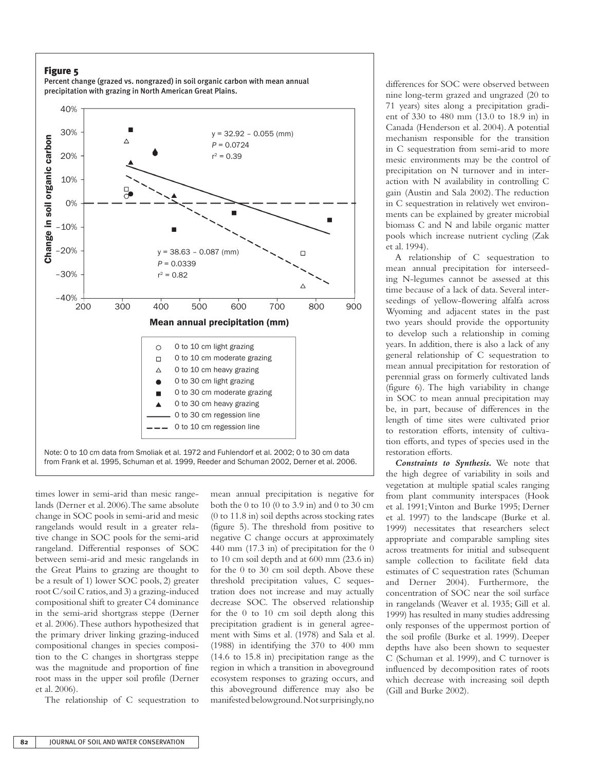## Figure 5

Percent change (grazed vs. nongrazed) in soil organic carbon with mean annual precipitation with grazing in North American Great Plains.



times lower in semi-arid than mesic rangelands (Derner et al. 2006). The same absolute change in SOC pools in semi-arid and mesic rangelands would result in a greater relative change in SOC pools for the semi-arid rangeland. Differential responses of SOC between semi-arid and mesic rangelands in the Great Plains to grazing are thought to be a result of 1) lower SOC pools, 2) greater root C/soil C ratios, and 3) a grazing-induced compositional shift to greater C4 dominance in the semi-arid shortgrass steppe (Derner et al. 2006). These authors hypothesized that the primary driver linking grazing-induced compositional changes in species composition to the C changes in shortgrass steppe was the magnitude and proportion of fine root mass in the upper soil profile (Derner et al. 2006).

The relationship of C sequestration to

mean annual precipitation is negative for both the 0 to 10 (0 to 3.9 in) and 0 to 30 cm (0 to 11.8 in) soil depths across stocking rates (figure 5). The threshold from positive to negative C change occurs at approximately 440 mm (17.3 in) of precipitation for the 0 to 10 cm soil depth and at 600 mm (23.6 in) for the 0 to 30 cm soil depth. Above these threshold precipitation values, C sequestration does not increase and may actually decrease SOC. The observed relationship for the 0 to 10 cm soil depth along this precipitation gradient is in general agreement with Sims et al. (1978) and Sala et al. (1988) in identifying the 370 to 400 mm (14.6 to 15.8 in) precipitation range as the region in which a transition in aboveground ecosystem responses to grazing occurs, and this aboveground difference may also be manifested belowground. Not surprisingly, no

differences for SOC were observed between nine long-term grazed and ungrazed (20 to 71 years) sites along a precipitation gradient of 330 to 480 mm (13.0 to 18.9 in) in Canada (Henderson et al. 2004). A potential mechanism responsible for the transition in C sequestration from semi-arid to more mesic environments may be the control of precipitation on N turnover and in interaction with N availability in controlling C gain (Austin and Sala 2002). The reduction in C sequestration in relatively wet environments can be explained by greater microbial biomass C and N and labile organic matter pools which increase nutrient cycling (Zak et al. 1994).

A relationship of C sequestration to mean annual precipitation for interseeding N-legumes cannot be assessed at this time because of a lack of data. Several interseedings of yellow-flowering alfalfa across Wyoming and adjacent states in the past two years should provide the opportunity to develop such a relationship in coming years. In addition, there is also a lack of any general relationship of C sequestration to mean annual precipitation for restoration of perennial grass on formerly cultivated lands (figure 6). The high variability in change in SOC to mean annual precipitation may be, in part, because of differences in the length of time sites were cultivated prior to restoration efforts, intensity of cultivation efforts, and types of species used in the restoration efforts.

*Constraints to Synthesis.* We note that the high degree of variability in soils and vegetation at multiple spatial scales ranging from plant community interspaces (Hook et al. 1991; Vinton and Burke 1995; Derner et al. 1997) to the landscape (Burke et al. 1999) necessitates that researchers select appropriate and comparable sampling sites across treatments for initial and subsequent sample collection to facilitate field data estimates of C sequestration rates (Schuman and Derner 2004). Furthermore, the concentration of SOC near the soil surface in rangelands (Weaver et al. 1935; Gill et al. 1999) has resulted in many studies addressing only responses of the uppermost portion of the soil profile (Burke et al. 1999). Deeper depths have also been shown to sequester C (Schuman et al. 1999), and C turnover is influenced by decomposition rates of roots which decrease with increasing soil depth (Gill and Burke 2002).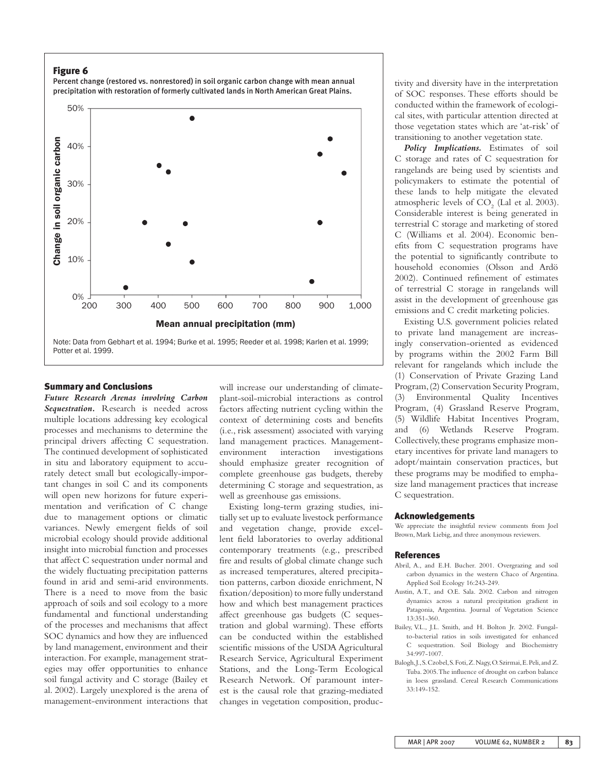## Figure 6



## Percent change (restored vs. nonrestored) in soil organic carbon change with mean annual precipitation with restoration of formerly cultivated lands in North American Great Plains.

## Summary and Conclusions

*Future Research Arenas involving Carbon Sequestration.* Research is needed across multiple locations addressing key ecological processes and mechanisms to determine the principal drivers affecting C sequestration. The continued development of sophisticated in situ and laboratory equipment to accurately detect small but ecologically-important changes in soil C and its components will open new horizons for future experimentation and verification of C change due to management options or climatic variances. Newly emergent fields of soil microbial ecology should provide additional insight into microbial function and processes that affect C sequestration under normal and the widely fluctuating precipitation patterns found in arid and semi-arid environments. There is a need to move from the basic approach of soils and soil ecology to a more fundamental and functional understanding of the processes and mechanisms that affect SOC dynamics and how they are influenced by land management, environment and their interaction. For example, management strategies may offer opportunities to enhance soil fungal activity and C storage (Bailey et al. 2002). Largely unexplored is the arena of management-environment interactions that

will increase our understanding of climateplant-soil-microbial interactions as control factors affecting nutrient cycling within the context of determining costs and benefits (i.e., risk assessment) associated with varying land management practices. Managementenvironment interaction investigations should emphasize greater recognition of complete greenhouse gas budgets, thereby determining C storage and sequestration, as well as greenhouse gas emissions.

Existing long-term grazing studies, initially set up to evaluate livestock performance and vegetation change, provide excellent field laboratories to overlay additional contemporary treatments (e.g., prescribed fire and results of global climate change such as increased temperatures, altered precipitation patterns, carbon dioxide enrichment, N fixation/deposition) to more fully understand how and which best management practices affect greenhouse gas budgets (C sequestration and global warming). These efforts can be conducted within the established scientific missions of the USDA Agricultural Research Service, Agricultural Experiment Stations, and the Long-Term Ecological Research Network. Of paramount interest is the causal role that grazing-mediated changes in vegetation composition, productivity and diversity have in the interpretation of SOC responses. These efforts should be conducted within the framework of ecological sites, with particular attention directed at those vegetation states which are 'at-risk' of transitioning to another vegetation state.

*Policy Implications.* Estimates of soil C storage and rates of C sequestration for rangelands are being used by scientists and policymakers to estimate the potential of these lands to help mitigate the elevated atmospheric levels of  $CO<sub>2</sub>$  (Lal et al. 2003). Considerable interest is being generated in terrestrial C storage and marketing of stored C (Williams et al. 2004). Economic benefits from C sequestration programs have the potential to significantly contribute to household economies (Olsson and Ardö 2002). Continued refinement of estimates of terrestrial C storage in rangelands will assist in the development of greenhouse gas emissions and C credit marketing policies.

Existing U.S. government policies related to private land management are increasingly conservation-oriented as evidenced by programs within the 2002 Farm Bill relevant for rangelands which include the (1) Conservation of Private Grazing Land Program, (2) Conservation Security Program, (3) Environmental Quality Incentives Program, (4) Grassland Reserve Program, (5) Wildlife Habitat Incentives Program, and (6) Wetlands Reserve Program. Collectively, these programs emphasize monetary incentives for private land managers to adopt/maintain conservation practices, but these programs may be modified to emphasize land management practices that increase C sequestration.

#### Acknowledgements

We appreciate the insightful review comments from Joel Brown, Mark Liebig, and three anonymous reviewers.

#### References

- Abril, A., and E.H. Bucher. 2001. Overgrazing and soil carbon dynamics in the western Chaco of Argentina. Applied Soil Ecology 16:243-249.
- Austin, A.T., and O.E. Sala. 2002. Carbon and nitrogen dynamics across a natural precipitation gradient in Patagonia, Argentina. Journal of Vegetation Science 13:351-360.
- Bailey, V.L., J.L. Smith, and H. Bolton Jr. 2002. Fungalto-bacterial ratios in soils investigated for enhanced C sequestration. Soil Biology and Biochemistry 34:997-1007.
- Balogh, J., S. Czobel, S. Foti, Z. Nagy, O. Szirmai, E. Peli, and Z. Tuba. 2005. The influence of drought on carbon balance in loess grassland. Cereal Research Communications 33:149-152.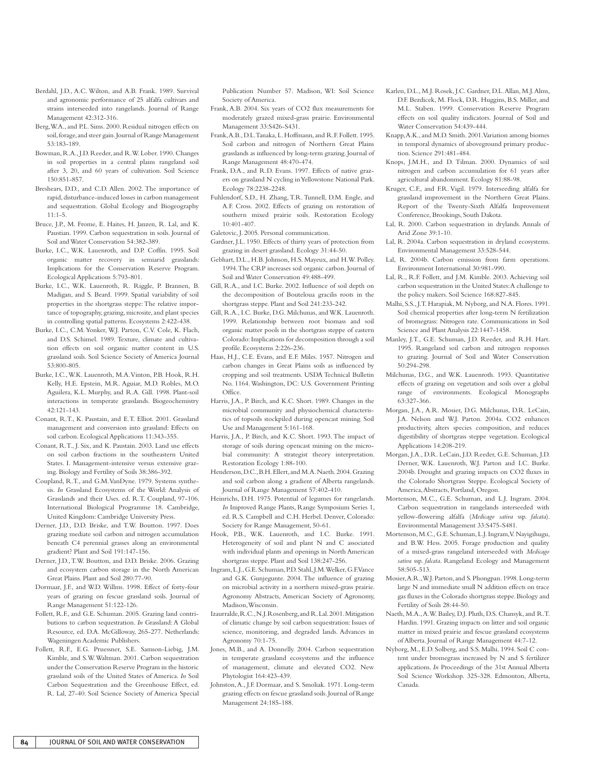- Berdahl, J.D., A.C. Wilton, and A.B. Frank. 1989. Survival and agronomic performance of 25 alfalfa cultivars and strains interseeded into rangelands. Journal of Range Management 42:312-316.
- Berg, W.A., and P.L. Sims. 2000. Residual nitrogen effects on soil, forage, and steer gain. Journal of Range Management 53:183-189.
- Bowman, R.A., J.D. Reeder, and R.W. Lober. 1990. Changes in soil properties in a central plains rangeland soil after 3, 20, and 60 years of cultivation. Soil Science 150:851-857.
- Breshears, D.D., and C.D. Allen. 2002. The importance of rapid, disturbance-induced losses in carbon management and sequestration. Global Ecology and Biogeography 11:1-5.
- Bruce, J.P., M. Frome, E. Haites, H. Janzen, R. Lal, and K. Paustian. 1999. Carbon sequestration in soils. Journal of Soil and Water Conservation 54:382-389.
- Burke, I.C., W.K. Lauenroth, and D.P. Coffin. 1995. Soil organic matter recovery in semiarid grasslands: Implications for the Conservation Reserve Program. Ecological Applications 5:793-801.
- Burke, I.C., W.K. Lauenroth, R. Riggle, P. Brannen, B. Madigan, and S. Beard. 1999. Spatial variability of soil properties in the shortgrass steppe: The relative importance of topography, grazing, microsite, and plant species in controlling spatial patterns. Ecosystems 2:422-438.
- Burke, I.C., C.M. Yonker, W.J. Parton, C.V. Cole, K. Flach, and D.S. Schimel. 1989. Texture, climate and cultivation effects on soil organic matter content in U.S. grassland soils. Soil Science Society of America Journal 53:800-805.
- Burke, I.C., W.K. Lauenroth, M.A. Vinton, P.B. Hook, R.H. Kelly, H.E. Epstein, M.R. Aguiar, M.D. Robles, M.O. Aguilera, K.L. Murphy, and R.A. Gill. 1998. Plant-soil interactions in temperate grasslands. Biogeochemistry 42:121-143.
- Conant, R.T., K. Paustain, and E.T. Elliot. 2001. Grassland management and conversion into grassland: Effects on soil carbon. Ecological Applications 11:343-355.
- Conant, R.T., J. Six, and K. Paustain. 2003. Land use effects on soil carbon fractions in the southeastern United States. I. Management-intensive versus extensive grazing. Biology and Fertility of Soils 38:386-392.
- Coupland, R.T., and G.M. VanDyne. 1979. Systems synthesis. *In* Grassland Ecosystems of the World: Analysis of Grasslands and their Uses. ed. R.T. Coupland, 97-106. International Biological Programme 18. Cambridge, United Kingdom: Cambridge University Press.
- Derner, J.D., D.D. Briske, and T.W. Boutton. 1997. Does grazing mediate soil carbon and nitrogen accumulation beneath C4 perennial grasses along an environmental gradient? Plant and Soil 191:147-156.
- Derner, J.D., T.W. Boutton, and D.D. Briske. 2006. Grazing and ecosystem carbon storage in the North American Great Plains. Plant and Soil 280:77-90.
- Dormaar, J.F., and W.D. Willms. 1998. Effect of forty-four years of grazing on fescue grassland soils. Journal of Range Management 51:122-126.
- Follett, R.F., and G.E. Schuman. 2005. Grazing land contributions to carbon sequestration. *In* Grassland: A Global Resource, ed. D.A. McGilloway, 265-277. Netherlands: Wageningen Academic Publishers.
- Follett, R.F., E.G. Pruessner, S.E. Samson-Liebig, J.M. Kimble, and S.W. Waltman. 2001. Carbon sequestration under the Conservation Reserve Program in the historic grassland soils of the United States of America. *In* Soil Carbon Sequestration and the Greenhouse Effect, ed. R. Lal, 27-40. Soil Science Society of America Special

Publication Number 57. Madison, WI: Soil Science Society of America.

- Frank, A.B. 2004. Six years of CO2 flux measurements for moderately grazed mixed-grass prairie. Environmental Management 33:S426-S431.
- Frank, A.B., D.L. Tanaka, L. Hoffmann, and R.F. Follett. 1995. Soil carbon and nitrogen of Northern Great Plains grasslands as influenced by long-term grazing. Journal of Range Management 48:470-474.
- Frank, D.A., and R.D. Evans. 1997. Effects of native grazers on grassland N cycling in Yellowstone National Park. Ecology 78:2238-2248.
- Fuhlendorf, S.D., H. Zhang, T.R. Tunnell, D.M. Engle, and A.F. Cross. 2002. Effects of grazing on restoration of southern mixed prairie soils. Restoration Ecology 10:401-407.
- Galetovic, J. 2005. Personal communication.
- Gardner, J.L. 1950. Effects of thirty years of protection from grazing in desert grassland. Ecology 31:44-50.
- Gebhart, D.L., H.B. Johnson, H.S. Mayeux, and H.W. Polley. 1994. The CRP increases soil organic carbon. Journal of Soil and Water Conservation 49:488-499.
- Gill, R.A., and I.C. Burke. 2002. Influence of soil depth on the decomposition of Bouteloua gracilis roots in the shortgrass steppe. Plant and Soil 241:233-242.
- Gill, R.A., I.C. Burke, D.G. Milchunas, and W.K. Lauenroth. 1999. Relationship between root biomass and soil organic matter pools in the shortgrass steppe of eastern Colorado: Implications for decomposition through a soil profile. Ecosystems 2:226-236.
- Haas, H.J., C.E. Evans, and E.F. Miles. 1957. Nitrogen and carbon changes in Great Plains soils as influenced by cropping and soil treatments. USDA Technical Bulletin No. 1164. Washington, DC: U.S. Government Printing Office.
- Harris, J.A., P. Birch, and K.C. Short. 1989. Changes in the microbial community and physiochemical characteristics of topsoils stockpiled during opencast mining. Soil Use and Management 5:161-168.
- Harris, J.A., P. Birch, and K.C. Short. 1993. The impact of storage of soils during opencast mining on the microbial community: A strategist theory interpretation. Restoration Ecology 1:88-100.
- Henderson, D.C., B.H. Ellert, and M.A. Naeth. 2004. Grazing and soil carbon along a gradient of Alberta rangelands. Journal of Range Management 57:402-410.
- Heinrichs, D.H. 1975. Potential of legumes for rangelands. *In* Improved Range Plants, Range Symposium Series 1, ed. R.S. Campbell and C.H. Herbel. Denver, Colorado: Society for Range Management, 50-61.
- Hook, P.B., W.K. Lauenroth, and I.C. Burke. 1991. Heterogeneity of soil and plant N and C associated with individual plants and openings in North American shortgrass steppe. Plant and Soil 138:247-256.
- Ingram, L.J., G.E. Schuman, P.D. Stahl, J.M. Welker, G.F. Vance and G.K. Gunjegunte. 2004. The influence of grazing on microbial activity in a northern mixed-grass prairie. Agronomy Abstracts, American Society of Agronomy, Madison, Wisconsin.

Izaurralde, R.C., N.J. Rosenberg, and R. Lal. 2001. Mitigation of climatic change by soil carbon sequestration: Issues of science, monitoring, and degraded lands. Advances in Agronomy 70:1-75.

- Jones, M.B., and A. Donnelly. 2004. Carbon sequestration in temperate grassland ecosystems and the influence of management, climate and elevated CO2. New Phytologist 164:423-439.
- Johnston, A., J.F. Dormaar, and S. Smoliak. 1971. Long-term grazing effects on fescue grassland soils. Journal of Range Management 24:185-188.
- Karlen, D.L., M.J. Rosek, J.C. Gardner, D.L. Allan, M.J. Alms, D.F. Bezdicek, M. Flock, D.R. Huggins, B.S. Miller, and M.L. Staben. 1999. Conservation Reserve Program effects on soil quality indicators. Journal of Soil and Water Conservation 54:439-444.
- Knapp, A.K., and M.D. Smith. 2001. Variation among biomes in temporal dynamics of aboveground primary production. Science 291:481-484.
- Knops, J.M.H., and D. Tilman. 2000. Dynamics of soil nitrogen and carbon accumulation for 61 years after agricultural abandonment. Ecology 81:88-98.
- Kruger, C.F., and F.R. Vigil. 1979. Interseeding alfalfa for grassland improvement in the Northern Great Plains. Report of the Twenty-Sixth Alfalfa Improvement Conference, Brookings, South Dakota.
- Lal, R. 2000. Carbon sequestration in drylands. Annals of Arid Zone 39:1-10.
- Lal, R. 2004a. Carbon sequestration in dryland ecosystems. Environmental Management 33:528-544.
- Lal, R. 2004b. Carbon emission from farm operations. Environment International 30:981-990.
- Lal, R., R.F. Follett, and J.M. Kimble. 2003. Achieving soil carbon sequestration in the United States: A challenge to the policy makers. Soil Science 168:827-845.
- Malhi, S.S., J.T. Harapiak, M. Nyborg, and N.A. Flores. 1991. Soil chemical properties after long-term N fertilization of bromegrass: Nitrogen rate. Communications in Soil Science and Plant Analysis 22:1447-1458.
- Manley, J.T., G.E. Schuman, J.D. Reeder, and R.H. Hart. 1995. Rangeland soil carbon and nitrogen responses to grazing. Journal of Soil and Water Conservation 50:294-298.
- Milchunas, D.G., and W.K. Lauenroth. 1993. Quantitative effects of grazing on vegetation and soils over a global range of environments. Ecological Monographs 63:327-366.
- Morgan, J.A., A.R. Mosier, D.G. Milchunas, D.R. LeCain, J.A. Nelson and W.J. Parton. 2004a. CO2 enhances productivity, alters species composition, and reduces digestibility of shortgrass steppe vegetation. Ecological Applications 14:208-219.
- Morgan, J.A., D.R. LeCain, J.D. Reeder, G.E. Schuman, J.D. Derner, W.K. Lauenroth, W.J. Parton and I.C. Burke. 2004b. Drought and grazing impacts on CO2 fluxes in the Colorado Shortgrass Steppe. Ecological Society of America, Abstracts, Portland, Oregon.
- Mortenson, M.C., G.E. Schuman, and L.J. Ingram. 2004. Carbon sequestration in rangelands interseeded with yellow-flowering alfalfa (*Medicago sativa* ssp. *falcata*). Environmental Management 33:S475-S481.
- Mortenson, M.C., G.E. Schuman, L.J. Ingram, V. Nayigihugu, and B.W. Hess. 2005. Forage production and quality of a mixed-grass rangeland interseeded with *Medicago sativa* ssp. *falcata*. Rangeland Ecology and Management 58:505-513.
- Mosier, A.R., W.J. Parton, and S. Phongpan. 1998. Long-term large N and immediate small N addition effects on trace gas fluxes in the Colorado shortgrass steppe. Biology and Fertility of Soils 28:44-50.
- Naeth, M.A., A.W. Bailey, D.J. Pluth, D.S. Chansyk, and R.T. Hardin. 1991. Grazing impacts on litter and soil organic matter in mixed prairie and fescue grassland ecosystems of Alberta. Journal of Range Management 44:7-12.
- Nyborg, M., E.D. Solberg, and S.S. Malhi. 1994. Soil C content under bromegrass increased by N and S fertilizer applications. *In* Proceedings of the 31st Annual Alberta Soil Science Workshop. 325-328. Edmonton, Alberta, Canada.